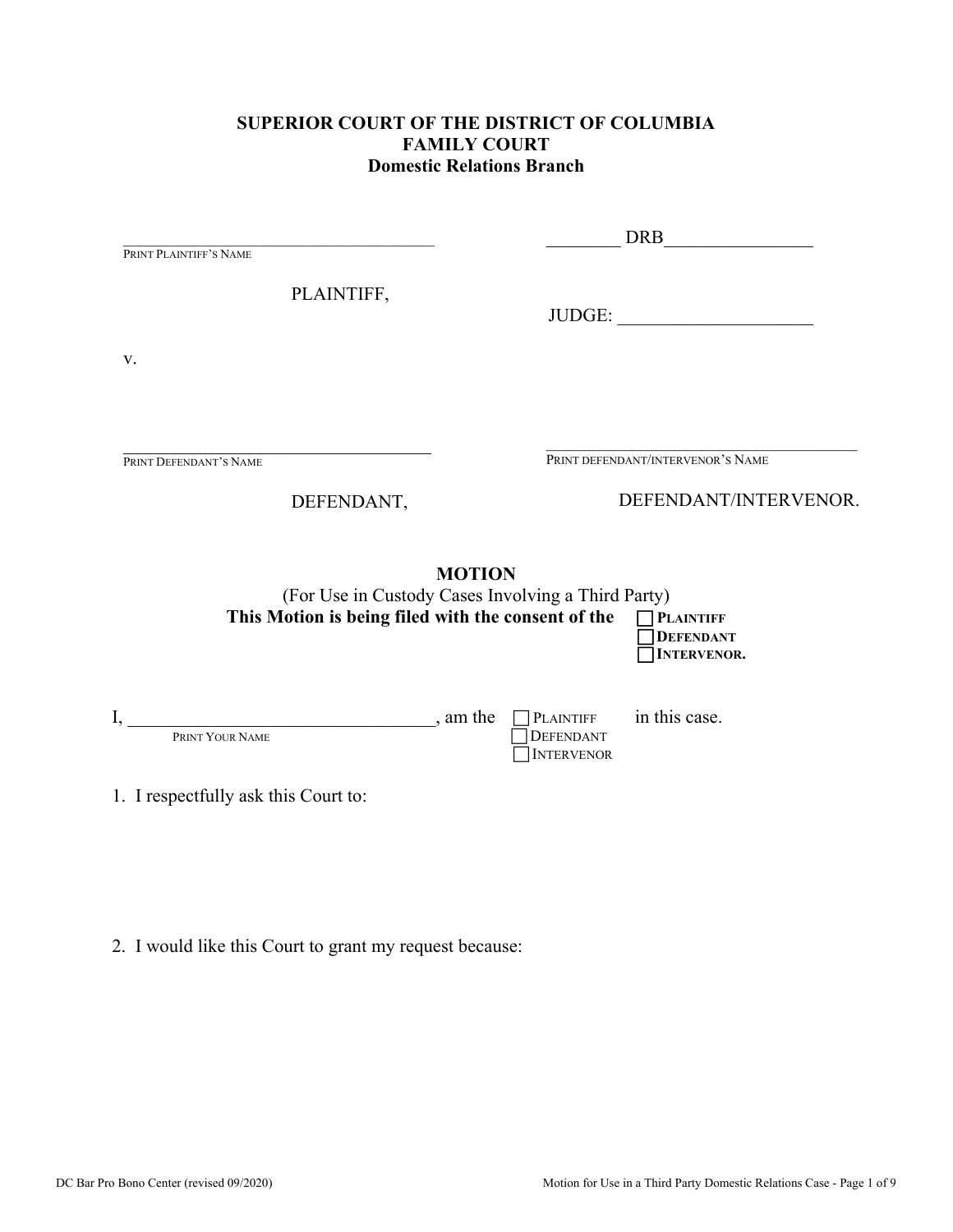### **SUPERIOR COURT OF THE DISTRICT OF COLUMBIA FAMILY COURT Domestic Relations Branch**

|                                                                                                                           | <b>DRB</b>                                                           |
|---------------------------------------------------------------------------------------------------------------------------|----------------------------------------------------------------------|
| PRINT PLAINTIFF'S NAME                                                                                                    |                                                                      |
| PLAINTIFF,                                                                                                                | JUDGE:                                                               |
| V.                                                                                                                        |                                                                      |
| PRINT DEFENDANT'S NAME                                                                                                    | PRINT DEFENDANT/INTERVENOR'S NAME                                    |
| DEFENDANT,                                                                                                                | DEFENDANT/INTERVENOR.                                                |
| <b>MOTION</b><br>(For Use in Custody Cases Involving a Third Party)<br>This Motion is being filed with the consent of the | <b>PLAINTIFF</b><br><b>DEFENDANT</b><br><b>INTERVENOR.</b>           |
| $\frac{1}{2}$ , am the<br>I,<br>PRINT YOUR NAME                                                                           | in this case.<br>$\n  PLAINTIFF\n$<br>DEFENDANT<br><b>INTERVENOR</b> |
| 1. I respectfully ask this Court to:                                                                                      |                                                                      |

2. I would like this Court to grant my request because: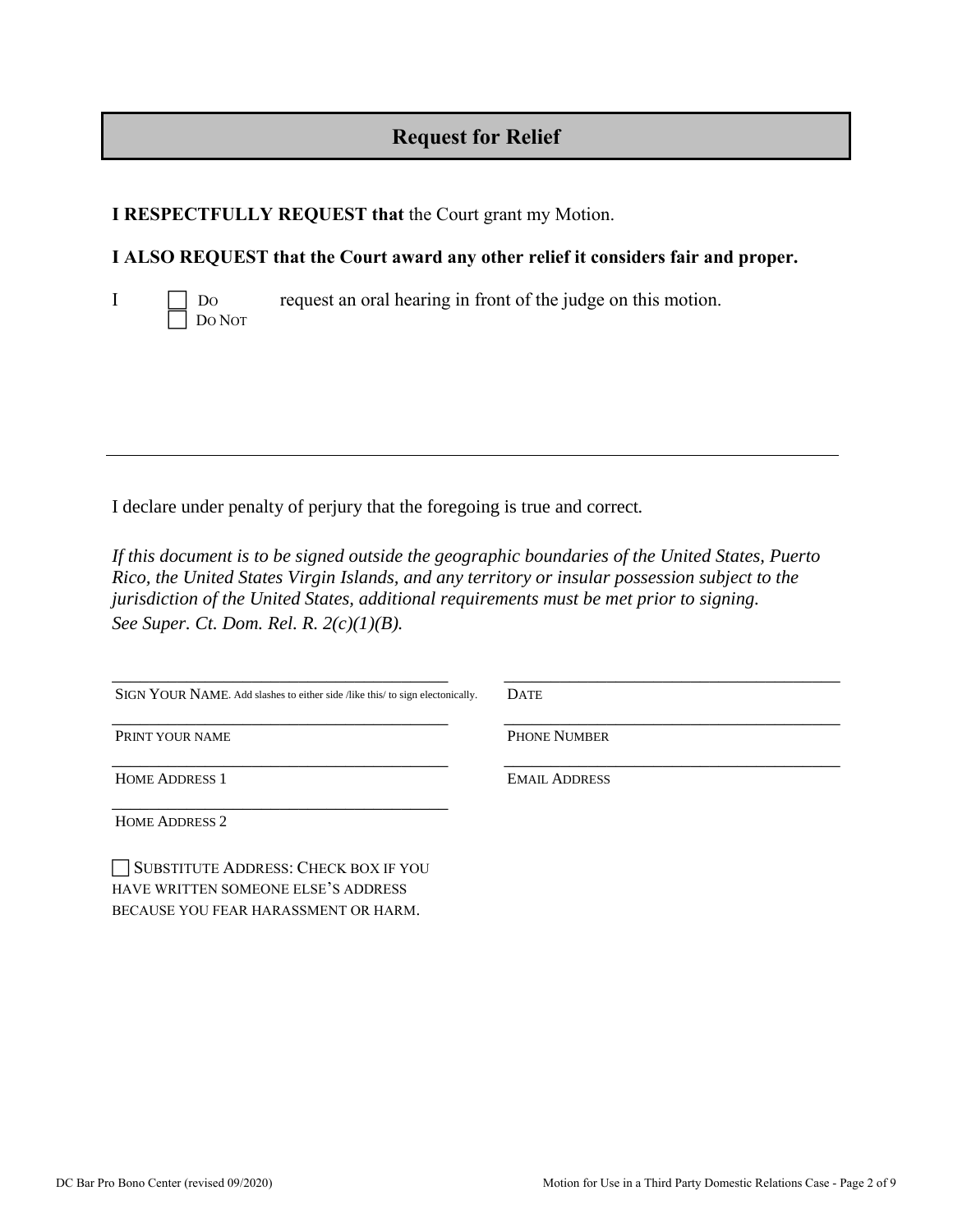# **Request for Relief**

### **I RESPECTFULLY REQUEST that** the Court grant my Motion.

### **I ALSO REQUEST that the Court award any other relief it considers fair and proper.**



 $I \Box$  Do request an oral hearing in front of the judge on this motion.

I declare under penalty of perjury that the foregoing is true and correct*.* 

*If this document is to be signed outside the geographic boundaries of the United States, Puerto Rico, the United States Virgin Islands, and any territory or insular possession subject to the jurisdiction of the United States, additional requirements must be met prior to signing. See Super. Ct. Dom. Rel. R. 2(c)(1)(B).*

| SIGN YOUR NAME. Add slashes to either side /like this/ to sign electonically. | <b>DATE</b>          |
|-------------------------------------------------------------------------------|----------------------|
| PRINT YOUR NAME                                                               | <b>PHONE NUMBER</b>  |
| <b>HOME ADDRESS 1</b>                                                         | <b>EMAIL ADDRESS</b> |
| <b>HOME ADDRESS 2</b>                                                         |                      |

SUBSTITUTE ADDRESS: CHECK BOX IF YOU HAVE WRITTEN SOMEONE ELSE'S ADDRESS BECAUSE YOU FEAR HARASSMENT OR HARM.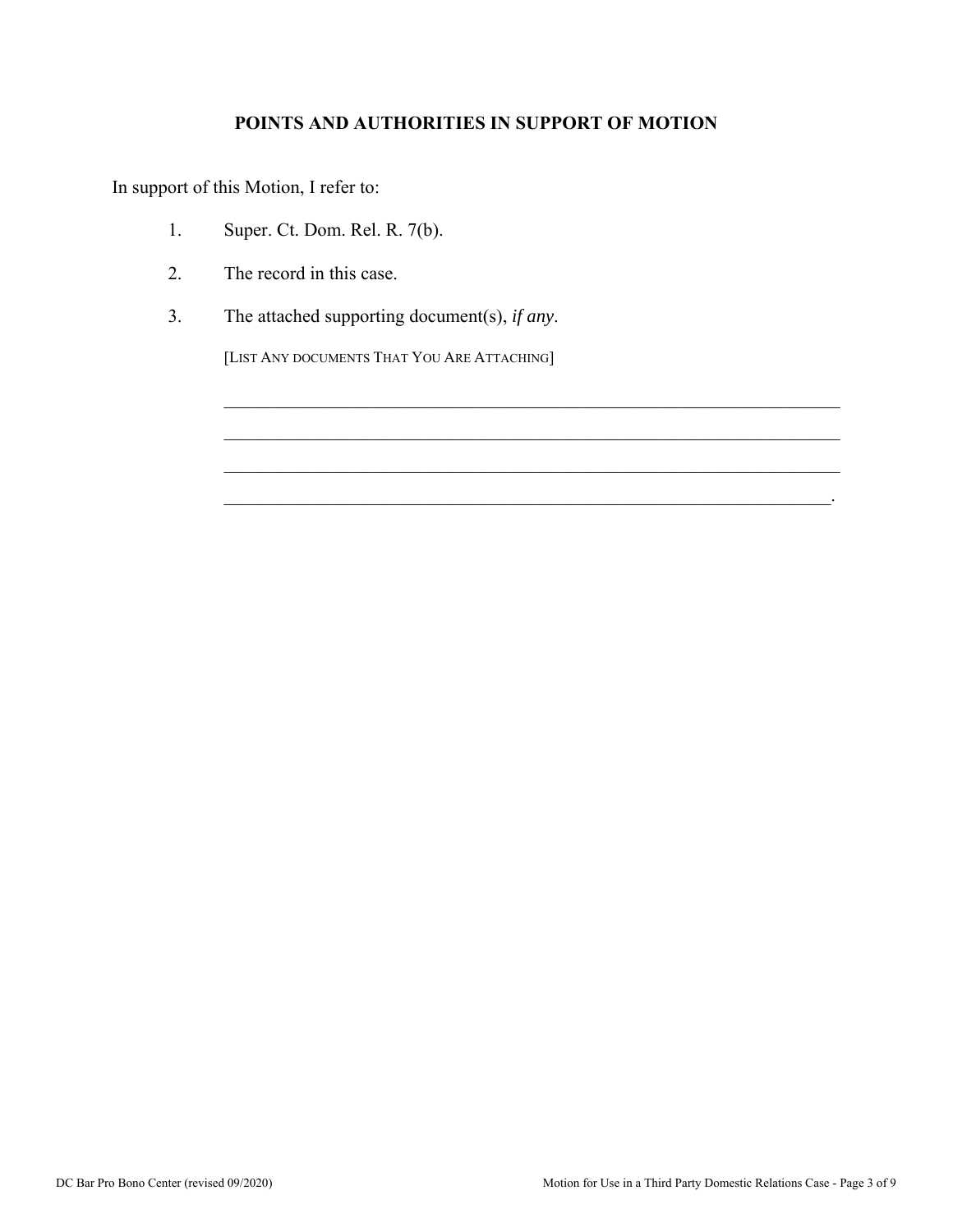## **POINTS AND AUTHORITIES IN SUPPORT OF MOTION**

 $\mathcal{L}_\mathcal{L} = \mathcal{L}_\mathcal{L} = \mathcal{L}_\mathcal{L} = \mathcal{L}_\mathcal{L} = \mathcal{L}_\mathcal{L} = \mathcal{L}_\mathcal{L} = \mathcal{L}_\mathcal{L} = \mathcal{L}_\mathcal{L} = \mathcal{L}_\mathcal{L} = \mathcal{L}_\mathcal{L} = \mathcal{L}_\mathcal{L} = \mathcal{L}_\mathcal{L} = \mathcal{L}_\mathcal{L} = \mathcal{L}_\mathcal{L} = \mathcal{L}_\mathcal{L} = \mathcal{L}_\mathcal{L} = \mathcal{L}_\mathcal{L}$ 

 $\mathcal{L}_\mathcal{L} = \mathcal{L}_\mathcal{L} = \mathcal{L}_\mathcal{L} = \mathcal{L}_\mathcal{L} = \mathcal{L}_\mathcal{L} = \mathcal{L}_\mathcal{L} = \mathcal{L}_\mathcal{L} = \mathcal{L}_\mathcal{L} = \mathcal{L}_\mathcal{L} = \mathcal{L}_\mathcal{L} = \mathcal{L}_\mathcal{L} = \mathcal{L}_\mathcal{L} = \mathcal{L}_\mathcal{L} = \mathcal{L}_\mathcal{L} = \mathcal{L}_\mathcal{L} = \mathcal{L}_\mathcal{L} = \mathcal{L}_\mathcal{L}$ 

In support of this Motion, I refer to:

- 1. Super. Ct. Dom. Rel. R. 7(b).
- 2. The record in this case.
- 3. The attached supporting document(s), *if any*.

[LIST ANY DOCUMENTS THAT YOU ARE ATTACHING]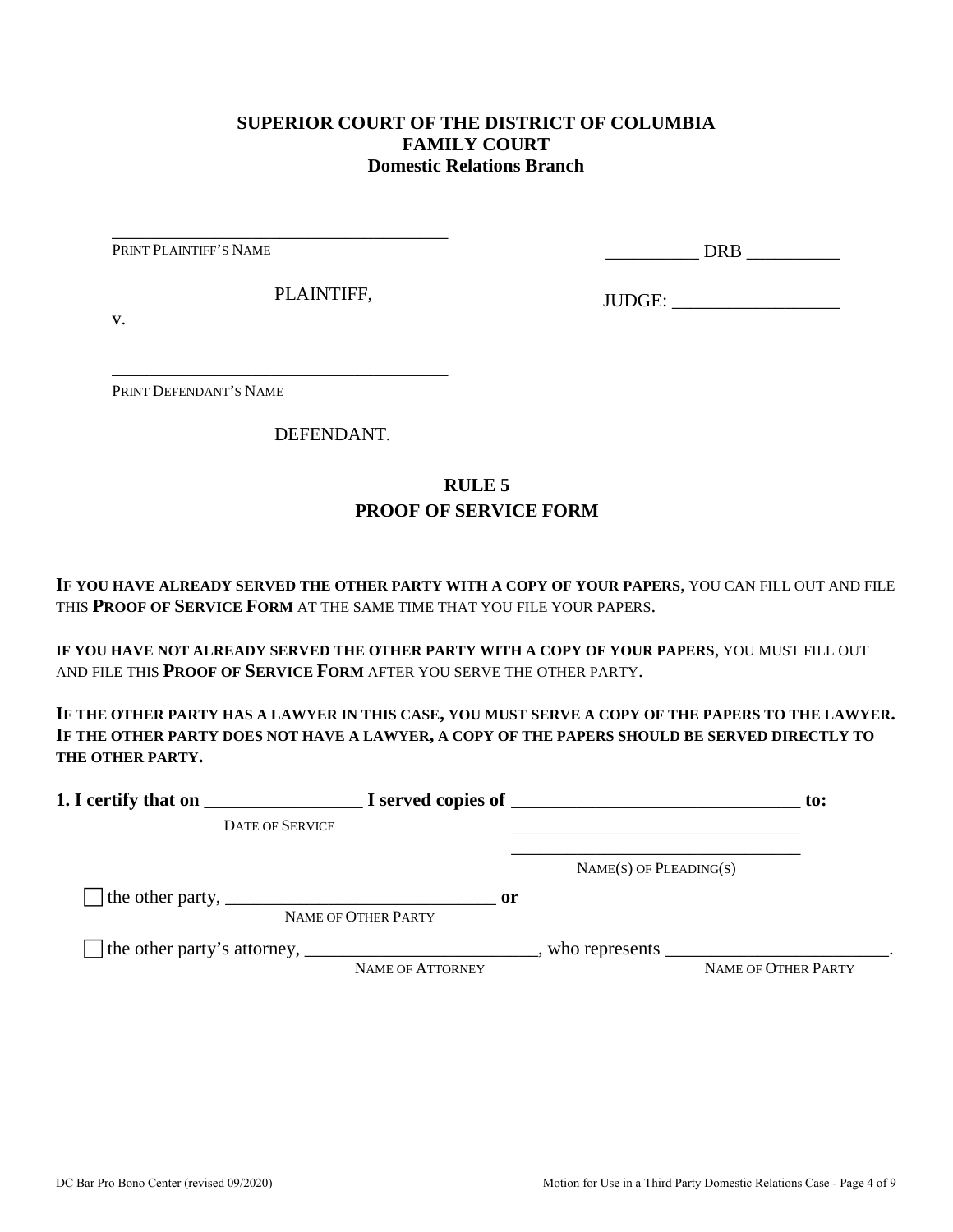#### **SUPERIOR COURT OF THE DISTRICT OF COLUMBIA FAMILY COURT Domestic Relations Branch**

PRINT PLAINTIFF'S NAME

\_\_\_\_\_\_\_\_\_\_ DRB \_\_\_\_\_\_\_\_\_\_

PLAINTIFF,

\_\_\_\_\_\_\_\_\_\_\_\_\_\_\_\_\_\_\_\_\_\_\_\_\_\_\_\_\_\_\_\_\_\_\_\_

\_\_\_\_\_\_\_\_\_\_\_\_\_\_\_\_\_\_\_\_\_\_\_\_\_\_\_\_\_\_\_\_\_\_\_\_

JUDGE: \_\_\_\_\_\_\_\_\_\_\_\_\_\_\_\_\_\_

v.

PRINT DEFENDANT'S NAME

DEFENDANT.

## **RULE 5 PROOF OF SERVICE FORM**

**IF YOU HAVE ALREADY SERVED THE OTHER PARTY WITH A COPY OF YOUR PAPERS**, YOU CAN FILL OUT AND FILE THIS **PROOF OF SERVICE FORM** AT THE SAME TIME THAT YOU FILE YOUR PAPERS.

**IF YOU HAVE NOT ALREADY SERVED THE OTHER PARTY WITH A COPY OF YOUR PAPERS**, YOU MUST FILL OUT AND FILE THIS **PROOF OF SERVICE FORM** AFTER YOU SERVE THE OTHER PARTY.

**IF THE OTHER PARTY HAS A LAWYER IN THIS CASE, YOU MUST SERVE A COPY OF THE PAPERS TO THE LAWYER. IF THE OTHER PARTY DOES NOT HAVE A LAWYER, A COPY OF THE PAPERS SHOULD BE SERVED DIRECTLY TO THE OTHER PARTY.** 

|                                                                               |                                      |                             | to:                                                                                                               |
|-------------------------------------------------------------------------------|--------------------------------------|-----------------------------|-------------------------------------------------------------------------------------------------------------------|
| <b>DATE OF SERVICE</b>                                                        |                                      |                             |                                                                                                                   |
|                                                                               |                                      | $NAME(S)$ OF PLEADING $(S)$ |                                                                                                                   |
| The other party, $\frac{1}{\sqrt{1-\frac{1}{2}}}\left\{1-\frac{1}{2}\right\}$ | $\mathbf{or}$<br>NAME OF OTHER PARTY |                             |                                                                                                                   |
|                                                                               | <b>NAME OF ATTORNEY</b>              |                             | who represents $\frac{1}{\sqrt{1-\frac{1}{2}}}\left[\frac{1}{\sqrt{1-\frac{1}{2}}}\right]$<br>NAME OF OTHER PARTY |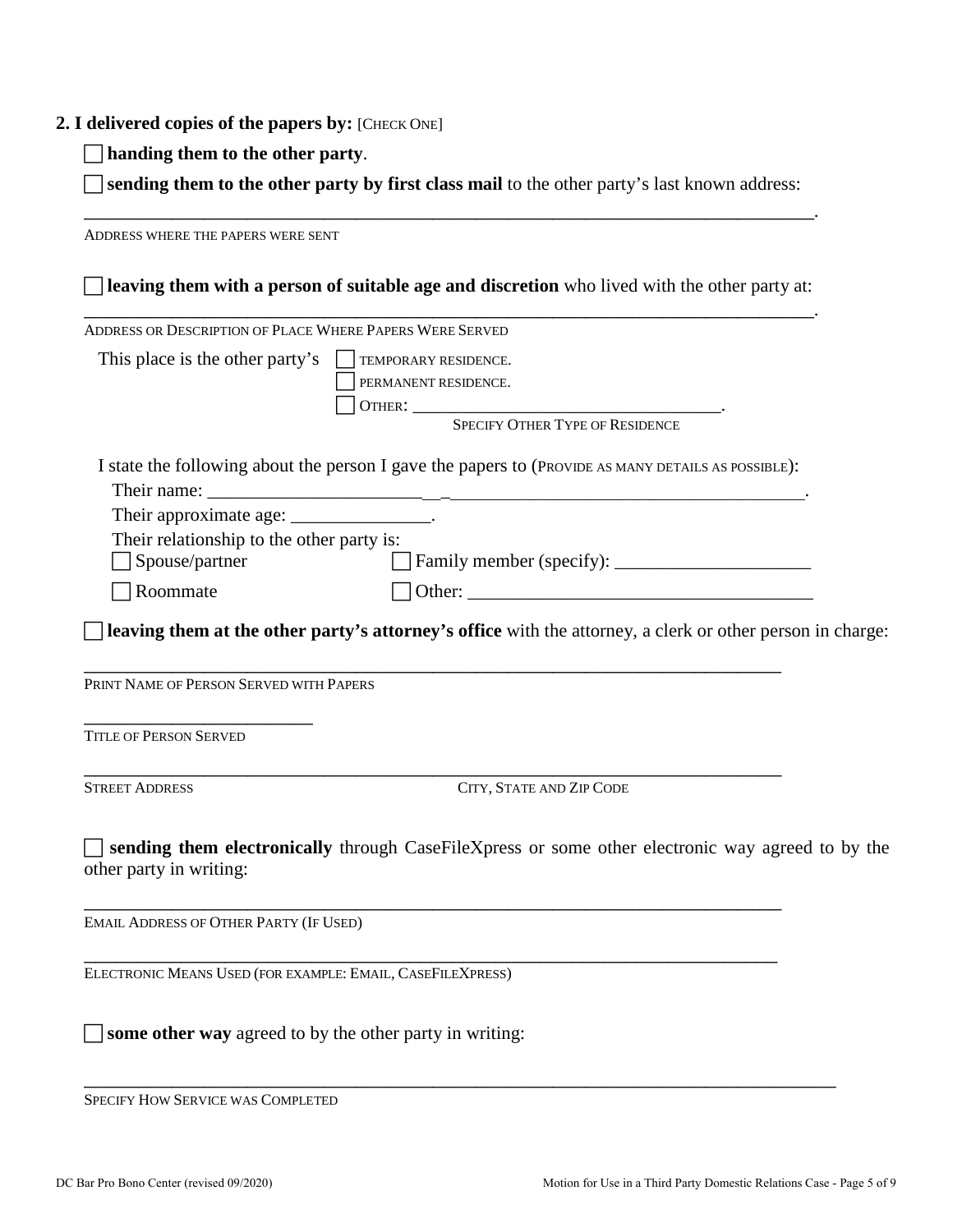#### **2. I delivered copies of the papers by:** [CHECK ONE]

**handing them to the other party**.

 **sending them to the other party by first class mail** to the other party's last known address: \_\_\_\_\_\_\_\_\_\_\_\_\_\_\_\_\_\_\_\_\_\_\_\_\_\_\_\_\_\_\_\_\_\_\_\_\_\_\_\_\_\_\_\_\_\_\_\_\_\_\_\_\_\_\_\_\_\_\_\_\_\_\_\_\_\_\_.

ADDRESS WHERE THE PAPERS WERE SENT **leaving them with a person of suitable age and discretion** who lived with the other party at: \_\_\_\_\_\_\_\_\_\_\_\_\_\_\_\_\_\_\_\_\_\_\_\_\_\_\_\_\_\_\_\_\_\_\_\_\_\_\_\_\_\_\_\_\_\_\_\_\_\_\_\_\_\_\_\_\_\_\_\_\_\_\_\_\_\_\_. ADDRESS OR DESCRIPTION OF PLACE WHERE PAPERS WERE SERVED This place is the other party's  $\Box$  TEMPORARY RESIDENCE. PERMANENT RESIDENCE. OTHER: \_\_\_\_\_\_\_\_\_\_\_\_\_\_\_\_\_\_\_\_\_\_\_\_\_\_\_\_\_\_\_\_\_. SPECIFY OTHER TYPE OF RESIDENCE I state the following about the person I gave the papers to (PROVIDE AS MANY DETAILS AS POSSIBLE): Their name: Their approximate age: \_\_\_\_\_\_\_\_\_\_\_\_\_\_\_\_. Their relationship to the other party is: □ Spouse/partner Family member (specify): \_\_\_\_\_\_\_\_\_\_\_\_\_\_\_\_\_\_\_\_\_\_\_\_\_\_  $\Box$  Roommate  $\Box$  Other: **leaving them at the other party's attorney's office** with the attorney, a clerk or other person in charge: \_\_\_\_\_\_\_\_\_\_\_\_\_\_\_\_\_\_\_\_\_\_\_\_\_\_\_\_\_\_\_\_\_\_\_\_\_\_\_\_\_\_\_\_\_\_\_\_\_\_\_\_\_\_\_\_\_\_\_\_\_\_\_\_ PRINT NAME OF PERSON SERVED WITH PAPERS \_\_\_\_\_\_\_\_\_\_\_\_\_\_\_\_\_\_\_\_\_ TITLE OF PERSON SERVED \_\_\_\_\_\_\_\_\_\_\_\_\_\_\_\_\_\_\_\_\_\_\_\_\_\_\_\_\_\_\_\_\_\_\_\_\_\_\_\_\_\_\_\_\_\_\_\_\_\_\_\_\_\_\_\_\_\_\_\_\_\_\_\_ STREET ADDRESS CITY, STATE AND ZIP CODE **sending them electronically** through CaseFileXpress or some other electronic way agreed to by the other party in writing: \_\_\_\_\_\_\_\_\_\_\_\_\_\_\_\_\_\_\_\_\_\_\_\_\_\_\_\_\_\_\_\_\_\_\_\_\_\_\_\_\_\_\_\_\_\_\_\_\_\_\_\_\_\_\_\_\_\_\_\_\_\_\_\_ EMAIL ADDRESS OF OTHER PARTY (IF USED) \_\_\_\_\_\_\_\_\_\_\_\_\_\_\_\_\_\_\_\_\_\_\_\_\_\_\_\_\_\_\_\_\_\_\_\_\_\_\_\_\_\_\_\_\_\_\_\_\_\_\_\_\_\_\_\_\_\_\_\_\_\_\_\_ ELECTRONIC MEANS USED (FOR EXAMPLE: EMAIL, CASEFILEXPRESS)  $\Box$  **some other way** agreed to by the other party in writing:

\_\_\_\_\_\_\_\_\_\_\_\_\_\_\_\_\_\_\_\_\_\_\_\_\_\_\_\_\_\_\_\_\_\_\_\_\_\_\_\_\_\_\_\_\_\_\_\_\_\_\_\_\_\_\_\_\_\_\_\_\_\_\_\_\_\_\_\_\_

SPECIFY HOW SERVICE WAS COMPLETED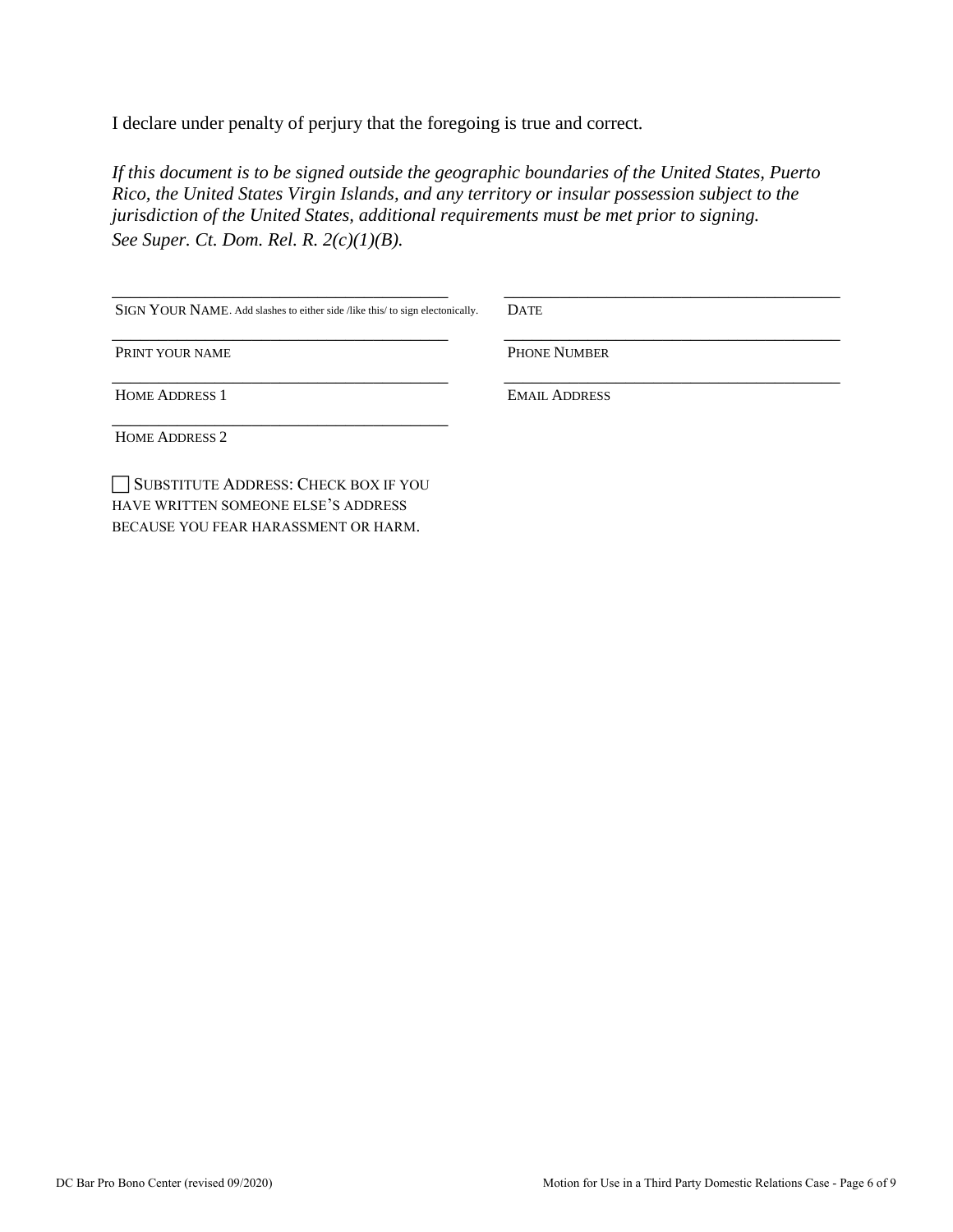I declare under penalty of perjury that the foregoing is true and correct*.* 

*If this document is to be signed outside the geographic boundaries of the United States, Puerto Rico, the United States Virgin Islands, and any territory or insular possession subject to the jurisdiction of the United States, additional requirements must be met prior to signing. See Super. Ct. Dom. Rel. R. 2(c)(1)(B).*

| SIGN YOUR NAME. Add slashes to either side /like this/ to sign electonically. | <b>DATE</b>          |
|-------------------------------------------------------------------------------|----------------------|
| PRINT YOUR NAME                                                               | <b>PHONE NUMBER</b>  |
| <b>HOME ADDRESS 1</b>                                                         | <b>EMAIL ADDRESS</b> |
| <b>HOME ADDRESS 2</b>                                                         |                      |
| SUBSTITUTE ADDRESS: CHECK BOX IF YOU                                          |                      |

HAVE WRITTEN SOMEONE ELSE'S ADDRESS BECAUSE YOU FEAR HARASSMENT OR HARM.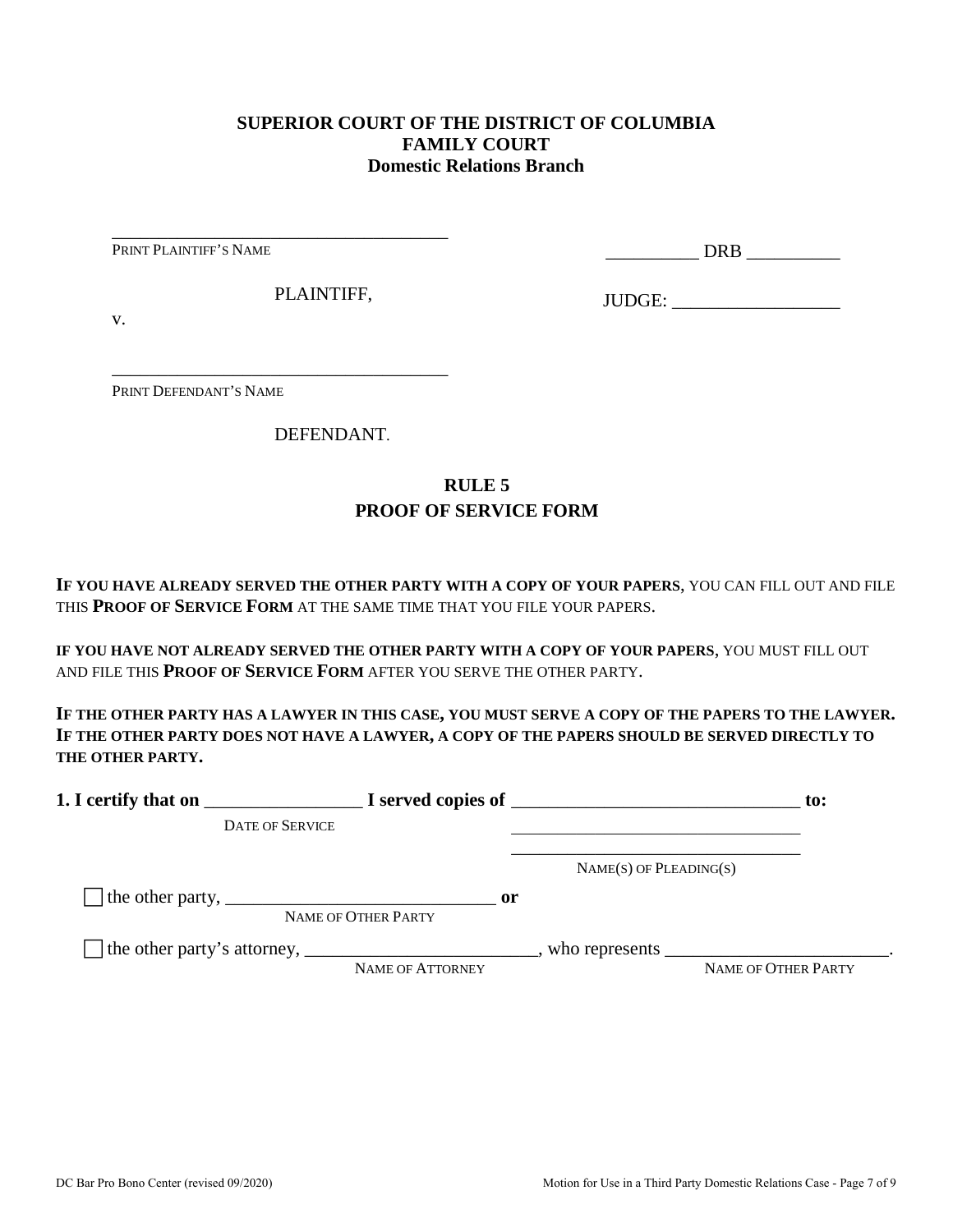#### **SUPERIOR COURT OF THE DISTRICT OF COLUMBIA FAMILY COURT Domestic Relations Branch**

PRINT PLAINTIFF'S NAME

\_\_\_\_\_\_\_\_\_\_ DRB \_\_\_\_\_\_\_\_\_\_

PLAINTIFF,

\_\_\_\_\_\_\_\_\_\_\_\_\_\_\_\_\_\_\_\_\_\_\_\_\_\_\_\_\_\_\_\_\_\_\_\_

\_\_\_\_\_\_\_\_\_\_\_\_\_\_\_\_\_\_\_\_\_\_\_\_\_\_\_\_\_\_\_\_\_\_\_\_

JUDGE: \_\_\_\_\_\_\_\_\_\_\_\_\_\_\_\_\_\_

v.

PRINT DEFENDANT'S NAME

DEFENDANT.

## **RULE 5 PROOF OF SERVICE FORM**

**IF YOU HAVE ALREADY SERVED THE OTHER PARTY WITH A COPY OF YOUR PAPERS**, YOU CAN FILL OUT AND FILE THIS **PROOF OF SERVICE FORM** AT THE SAME TIME THAT YOU FILE YOUR PAPERS.

**IF YOU HAVE NOT ALREADY SERVED THE OTHER PARTY WITH A COPY OF YOUR PAPERS**, YOU MUST FILL OUT AND FILE THIS **PROOF OF SERVICE FORM** AFTER YOU SERVE THE OTHER PARTY.

**IF THE OTHER PARTY HAS A LAWYER IN THIS CASE, YOU MUST SERVE A COPY OF THE PAPERS TO THE LAWYER. IF THE OTHER PARTY DOES NOT HAVE A LAWYER, A COPY OF THE PAPERS SHOULD BE SERVED DIRECTLY TO THE OTHER PARTY.** 

| 1. I certify that on                                                                                      |                                      | $\blacksquare$ $\blacksquare$ I served copies of $\blacksquare$ | $\mathbf{to}$ :     |
|-----------------------------------------------------------------------------------------------------------|--------------------------------------|-----------------------------------------------------------------|---------------------|
| <b>DATE OF SERVICE</b>                                                                                    |                                      |                                                                 |                     |
|                                                                                                           |                                      | $NAME(S)$ OF PLEADING(S)                                        |                     |
| The other party, $\frac{1}{\sqrt{1-\frac{1}{2}}}\left\lfloor \frac{1}{2}\right\rfloor$                    | $\mathbf{or}$<br>NAME OF OTHER PARTY |                                                                 |                     |
| The other party's attorney, _______________________________, who represents ____________________________. | NAME OF ATTORNEY                     |                                                                 | NAME OF OTHER PARTY |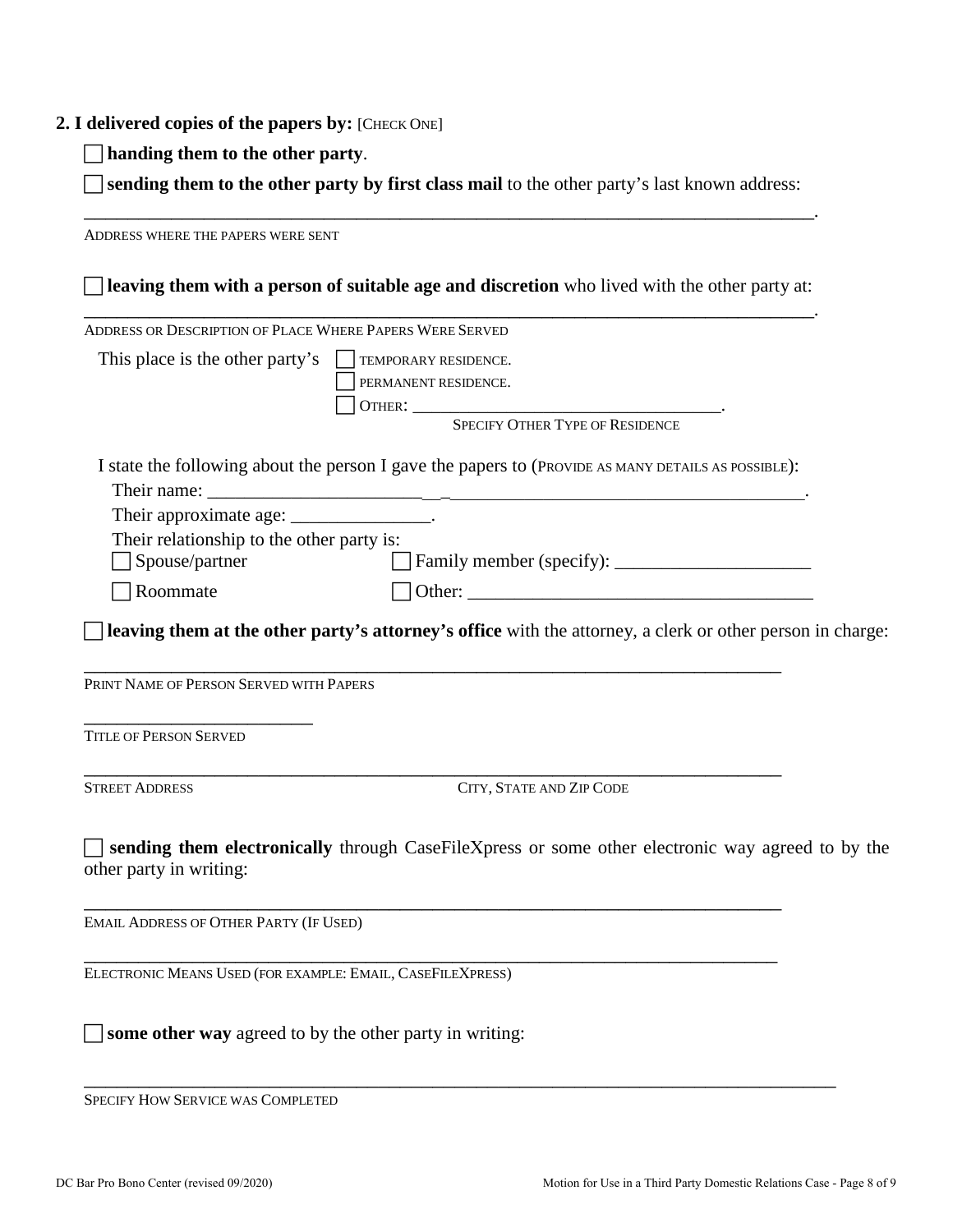#### **2. I delivered copies of the papers by:** [CHECK ONE]

**handing them to the other party**.

 **sending them to the other party by first class mail** to the other party's last known address: \_\_\_\_\_\_\_\_\_\_\_\_\_\_\_\_\_\_\_\_\_\_\_\_\_\_\_\_\_\_\_\_\_\_\_\_\_\_\_\_\_\_\_\_\_\_\_\_\_\_\_\_\_\_\_\_\_\_\_\_\_\_\_\_\_\_\_.

ADDRESS WHERE THE PAPERS WERE SENT **leaving them with a person of suitable age and discretion** who lived with the other party at: \_\_\_\_\_\_\_\_\_\_\_\_\_\_\_\_\_\_\_\_\_\_\_\_\_\_\_\_\_\_\_\_\_\_\_\_\_\_\_\_\_\_\_\_\_\_\_\_\_\_\_\_\_\_\_\_\_\_\_\_\_\_\_\_\_\_\_. ADDRESS OR DESCRIPTION OF PLACE WHERE PAPERS WERE SERVED This place is the other party's  $\Box$  TEMPORARY RESIDENCE. PERMANENT RESIDENCE. OTHER: \_\_\_\_\_\_\_\_\_\_\_\_\_\_\_\_\_\_\_\_\_\_\_\_\_\_\_\_\_\_\_\_\_. SPECIFY OTHER TYPE OF RESIDENCE I state the following about the person I gave the papers to (PROVIDE AS MANY DETAILS AS POSSIBLE): Their name: Their approximate age: \_\_\_\_\_\_\_\_\_\_\_\_\_\_\_\_. Their relationship to the other party is: □ Spouse/partner Family member (specify): \_\_\_\_\_\_\_\_\_\_\_\_\_\_\_\_\_\_\_\_\_\_\_\_\_\_  $\Box$  Roommate  $\Box$  Other: **leaving them at the other party's attorney's office** with the attorney, a clerk or other person in charge: \_\_\_\_\_\_\_\_\_\_\_\_\_\_\_\_\_\_\_\_\_\_\_\_\_\_\_\_\_\_\_\_\_\_\_\_\_\_\_\_\_\_\_\_\_\_\_\_\_\_\_\_\_\_\_\_\_\_\_\_\_\_\_\_ PRINT NAME OF PERSON SERVED WITH PAPERS \_\_\_\_\_\_\_\_\_\_\_\_\_\_\_\_\_\_\_\_\_ TITLE OF PERSON SERVED \_\_\_\_\_\_\_\_\_\_\_\_\_\_\_\_\_\_\_\_\_\_\_\_\_\_\_\_\_\_\_\_\_\_\_\_\_\_\_\_\_\_\_\_\_\_\_\_\_\_\_\_\_\_\_\_\_\_\_\_\_\_\_\_ STREET ADDRESS CITY, STATE AND ZIP CODE **sending them electronically** through CaseFileXpress or some other electronic way agreed to by the other party in writing: \_\_\_\_\_\_\_\_\_\_\_\_\_\_\_\_\_\_\_\_\_\_\_\_\_\_\_\_\_\_\_\_\_\_\_\_\_\_\_\_\_\_\_\_\_\_\_\_\_\_\_\_\_\_\_\_\_\_\_\_\_\_\_\_ EMAIL ADDRESS OF OTHER PARTY (IF USED) \_\_\_\_\_\_\_\_\_\_\_\_\_\_\_\_\_\_\_\_\_\_\_\_\_\_\_\_\_\_\_\_\_\_\_\_\_\_\_\_\_\_\_\_\_\_\_\_\_\_\_\_\_\_\_\_\_\_\_\_\_\_\_\_ ELECTRONIC MEANS USED (FOR EXAMPLE: EMAIL, CASEFILEXPRESS)  $\Box$  **some other way** agreed to by the other party in writing:

\_\_\_\_\_\_\_\_\_\_\_\_\_\_\_\_\_\_\_\_\_\_\_\_\_\_\_\_\_\_\_\_\_\_\_\_\_\_\_\_\_\_\_\_\_\_\_\_\_\_\_\_\_\_\_\_\_\_\_\_\_\_\_\_\_\_\_\_\_

SPECIFY HOW SERVICE WAS COMPLETED